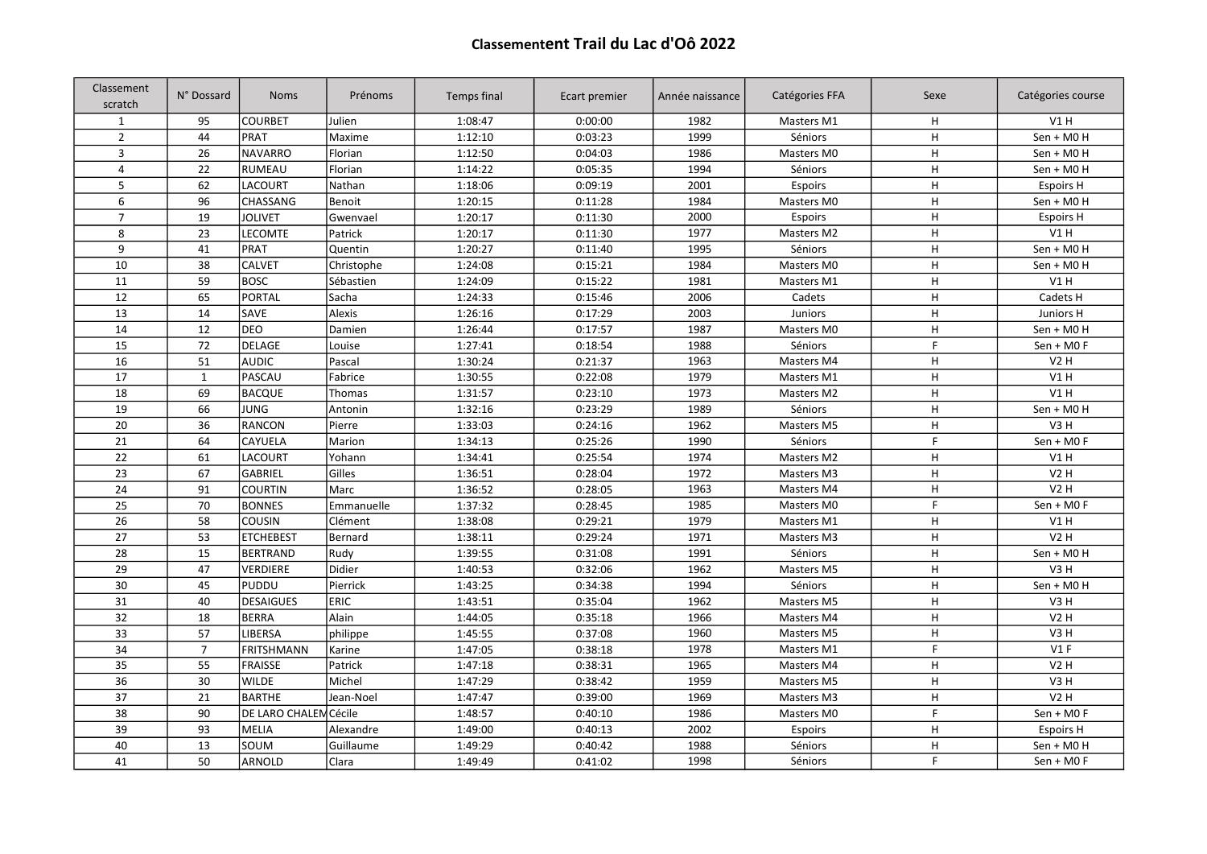## Classementent Trail du Lac d'Oô 2022

| Classement<br>scratch | N° Dossard                         | <b>Noms</b>       | Prénoms     | Temps final | Ecart premier | Année naissance | Catégories FFA | Sexe        | Catégories course |
|-----------------------|------------------------------------|-------------------|-------------|-------------|---------------|-----------------|----------------|-------------|-------------------|
| $\mathbf{1}$          | 95                                 | <b>COURBET</b>    | Julien      | 1:08:47     | 0:00:00       | 1982            | Masters M1     | H           | V1H               |
| $\mathbf 2$           | 44                                 | PRAT              | Maxime      | 1:12:10     | 0:03:23       | 1999            | Séniors        | H           | Sen + M0 H        |
| $\overline{3}$        | 26                                 | <b>NAVARRO</b>    | Florian     | 1:12:50     | 0:04:03       | 1986            | Masters M0     | H           | Sen + M0 H        |
| $\overline{4}$        | 22                                 | <b>RUMEAU</b>     | Florian     | 1:14:22     | 0:05:35       | 1994            | Séniors        | H           | Sen + M0 H        |
| 5                     | 62                                 | <b>LACOURT</b>    | Nathan      | 1:18:06     | 0:09:19       | 2001            | Espoirs        | H           | <b>Espoirs H</b>  |
| 6                     | 96                                 | <b>CHASSANG</b>   | Benoit      | 1:20:15     | 0:11:28       | 1984            | Masters M0     | H           | Sen + M0 H        |
| $\overline{7}$        | 19                                 | <b>JOLIVET</b>    | Gwenvael    | 1:20:17     | 0:11:30       | 2000            | Espoirs        | H           | <b>Espoirs H</b>  |
| 8                     | 23                                 | <b>LECOMTE</b>    | Patrick     | 1:20:17     | 0:11:30       | 1977            | Masters M2     | $\mathsf H$ | V1H               |
| 9                     | 41                                 | PRAT              | Quentin     | 1:20:27     | 0:11:40       | 1995            | Séniors        | H           | Sen + M0 H        |
| 10                    | 38                                 | <b>CALVET</b>     | Christophe  | 1:24:08     | 0:15:21       | 1984            | Masters M0     | H           | Sen + M0 H        |
| 11                    | 59                                 | <b>BOSC</b>       | Sébastien   | 1:24:09     | 0:15:22       | 1981            | Masters M1     | H           | V1H               |
| 12                    | 65                                 | PORTAL            | Sacha       | 1:24:33     | 0:15:46       | 2006            | Cadets         | H           | Cadets H          |
| 13                    | 14                                 | SAVE              | Alexis      | 1:26:16     | 0:17:29       | 2003            | Juniors        | H           | Juniors H         |
| 14                    | 12                                 | <b>DEO</b>        | Damien      | 1:26:44     | 0:17:57       | 1987            | Masters M0     | H           | Sen + M0 H        |
| 15                    | 72                                 | DELAGE            | Louise      | 1:27:41     | 0:18:54       | 1988            | Séniors        | F.          | $Sen + MO F$      |
| 16                    | 51                                 | <b>AUDIC</b>      | Pascal      | 1:30:24     | 0:21:37       | 1963            | Masters M4     | H           | <b>V2H</b>        |
| 17                    | $\mathbf{1}$                       | PASCAU            | Fabrice     | 1:30:55     | 0:22:08       | 1979            | Masters M1     | H           | V1H               |
| 18                    | 69                                 | <b>BACQUE</b>     | Thomas      | 1:31:57     | 0:23:10       | 1973            | Masters M2     | H           | V1H               |
| 19                    | 66                                 | JUNG              | Antonin     | 1:32:16     | 0:23:29       | 1989            | Séniors        | H           | Sen + M0 H        |
| 20                    | 36                                 | RANCON            | Pierre      | 1:33:03     | 0:24:16       | 1962            | Masters M5     | H           | V <sub>3</sub> H  |
| 21                    | 64                                 | CAYUELA           | Marion      | 1:34:13     | 0:25:26       | 1990            | Séniors        | F.          | Sen + M0 F        |
| $\overline{22}$       | 61                                 | LACOURT           | Yohann      | 1:34:41     | 0:25:54       | 1974            | Masters M2     | H           | V1H               |
| $\overline{23}$       | 67                                 | <b>GABRIEL</b>    | Gilles      | 1:36:51     | 0:28:04       | 1972            | Masters M3     | H           | V2H               |
| 24                    | 91                                 | <b>COURTIN</b>    | Marc        | 1:36:52     | 0:28:05       | 1963            | Masters M4     | H           | <b>V2H</b>        |
| 25                    | 70                                 | <b>BONNES</b>     | Emmanuelle  | 1:37:32     | 0:28:45       | 1985            | Masters M0     | F.          | Sen + M0 F        |
| 26                    | 58                                 | <b>COUSIN</b>     | Clément     | 1:38:08     | 0:29:21       | 1979            | Masters M1     | H           | V1H               |
| 27                    | 53                                 | <b>ETCHEBEST</b>  | Bernard     | 1:38:11     | 0:29:24       | 1971            | Masters M3     | H           | <b>V2H</b>        |
| 28                    | 15                                 | <b>BERTRAND</b>   | Rudy        | 1:39:55     | 0:31:08       | 1991            | Séniors        | H           | Sen + M0 H        |
| 29                    | 47                                 | VERDIERE          | Didier      | 1:40:53     | 0:32:06       | 1962            | Masters M5     | H           | V <sub>3</sub> H  |
| 30                    | 45                                 | <b>PUDDU</b>      | Pierrick    | 1:43:25     | 0:34:38       | 1994            | Séniors        | H           | Sen + M0 H        |
| 31                    | 40                                 | <b>DESAIGUES</b>  | <b>ERIC</b> | 1:43:51     | 0:35:04       | 1962            | Masters M5     | H           | V <sub>3</sub> H  |
| $\overline{32}$       | 18                                 | <b>BERRA</b>      | Alain       | 1:44:05     | 0:35:18       | 1966            | Masters M4     | H           | <b>V2H</b>        |
| 33                    | 57                                 | LIBERSA           | philippe    | 1:45:55     | 0:37:08       | 1960            | Masters M5     | H           | V <sub>3</sub> H  |
| 34                    | $\overline{7}$                     | <b>FRITSHMANN</b> | Karine      | 1:47:05     | 0:38:18       | 1978            | Masters M1     | F.          | V1F               |
| 35                    | 55                                 | <b>FRAISSE</b>    | Patrick     | 1:47:18     | 0:38:31       | 1965            | Masters M4     | H           | <b>V2H</b>        |
| $\overline{36}$       | 30                                 | <b>WILDE</b>      | Michel      | 1:47:29     | 0:38:42       | 1959            | Masters M5     | H           | V <sub>3</sub> H  |
| 37                    | 21                                 | BARTHE            | Jean-Noel   | 1:47:47     | 0:39:00       | 1969            | Masters M3     | H           | <b>V2 H</b>       |
| 38                    | 90<br><b>DE LARO CHALEM Cécile</b> |                   | 1:48:57     | 0:40:10     | 1986          | Masters M0      | F.             | Sen + M0 F  |                   |
| 39                    | 93                                 | MELIA             | Alexandre   | 1:49:00     | 0:40:13       | 2002            | Espoirs        | H           | <b>Espoirs H</b>  |
| 40                    | 13                                 | SOUM              | Guillaume   | 1:49:29     | 0:40:42       | 1988            | Séniors        | H           | Sen + M0 H        |
| 41                    | 50                                 | <b>ARNOLD</b>     | Clara       | 1:49:49     | 0:41:02       | 1998            | Séniors        | F.          | Sen + M0 F        |